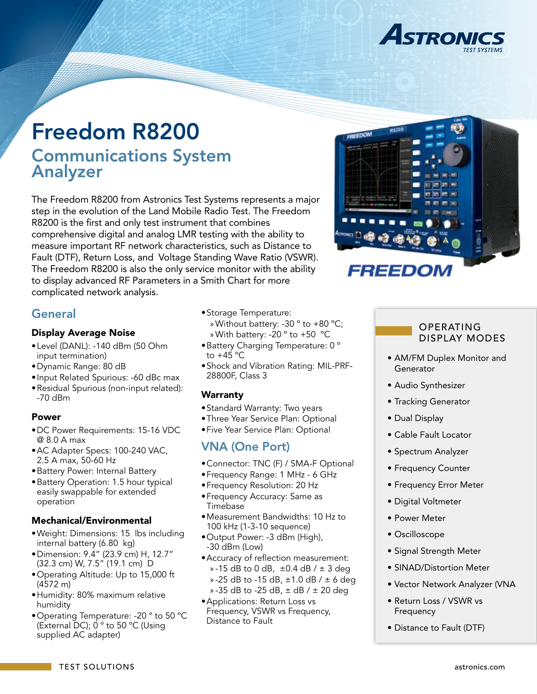

# Freedom R8200 Communications System Analyzer

The Freedom R8200 from Astronics Test Systems represents a major step in the evolution of the Land Mobile Radio Test. The Freedom R8200 is the first and only test instrument that combines comprehensive digital and analog LMR testing with the ability to measure important RF network characteristics, such as Distance to Fault (DTF), Return Loss, and Voltage Standing Wave Ratio (VSWR). The Freedom R8200 is also the only service monitor with the ability to display advanced RF Parameters in a Smith Chart for more complicated network analysis.

## **General**

#### Display Average Noise

- •Level (DANL): -140 dBm (50 Ohm input termination)
- •Dynamic Range: 80 dB
- •Input Related Spurious: -60 dBc max
- •Residual Spurious (non-input related): -70 dBm

#### Power

- •DC Power Requirements: 15-16 VDC @ 8.0 A max
- •AC Adapter Specs: 100-240 VAC, 2.5 A max, 50-60 Hz
- •Battery Power: Internal Battery
- •Battery Operation: 1.5 hour typical easily swappable for extended operation

#### Mechanical/Environmental

- •Weight: Dimensions: 15 lbs including internal battery (6.80 kg)
- •Dimension: 9.4" (23.9 cm) H, 12.7" (32.3 cm) W, 7.5" (19.1 cm) D
- •Operating Altitude: Up to 15,000 ft (4572 m)
- •Humidity: 80% maximum relative humidity
- •Operating Temperature: -20 º to 50 ºC (External DC); 0 º to 50 ºC (Using supplied AC adapter)
- •Storage Temperature: » Without battery: -30 º to +80 ºC; » With battery: -20 º to +50 ºC
- •Battery Charging Temperature: 0 º to  $+45$  °C
- •Shock and Vibration Rating: MIL-PRF-28800F, Class 3

### **Warranty**

- •Standard Warranty: Two years
- •Three Year Service Plan: Optional
- •Five Year Service Plan: Optional

## VNA (One Port)

- •Connector: TNC (F) / SMA-F Optional
- •Frequency Range: 1 MHz 6 GHz
- •Frequency Resolution: 20 Hz
- •Frequency Accuracy: Same as Timebase
- •Measurement Bandwidths: 10 Hz to 100 kHz (1-3-10 sequence)
- •Output Power: -3 dBm (High), -30 dBm (Low)
- •Accuracy of reflection measurement: » -15 dB to 0 dB,  $\pm$ 0.4 dB /  $\pm$  3 deg » -25 dB to -15 dB,  $\pm$ 1.0 dB /  $\pm$  6 deg » -35 dB to -25 dB,  $\pm$  dB /  $\pm$  20 deg
- •Applications: Return Loss vs Frequency, VSWR vs Frequency, Distance to Fault



#### OPERATING DISPLAY MODES

- AM/FM Duplex Monitor and Generator
- Audio Synthesizer
- Tracking Generator
- Dual Display
- Cable Fault Locator
- Spectrum Analyzer
- Frequency Counter
- Frequency Error Meter
- Digital Voltmeter
- Power Meter
- Oscilloscope
- Signal Strength Meter
- SINAD/Distortion Meter
- Vector Network Analyzer (VNA
- Return Loss / VSWR vs Frequency
- Distance to Fault (DTF)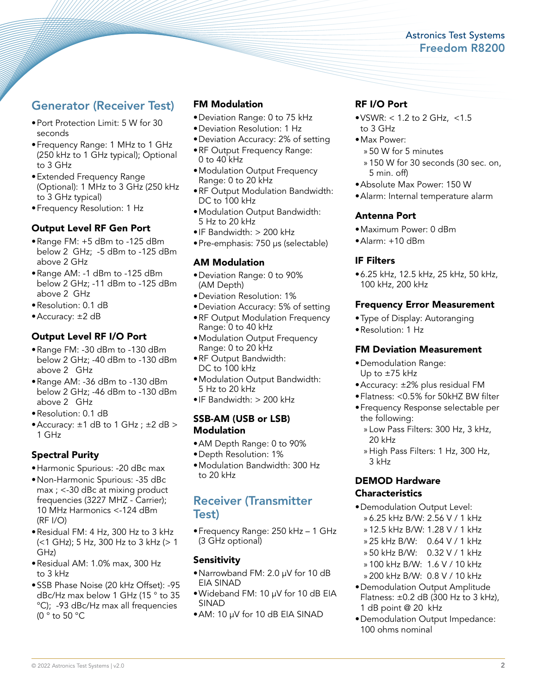### Astronics Test Systems Freedom R8200

## Generator (Receiver Test)

- •Port Protection Limit: 5 W for 30 seconds
- •Frequency Range: 1 MHz to 1 GHz (250 kHz to 1 GHz typical); Optional to 3 GHz
- •Extended Frequency Range (Optional): 1 MHz to 3 GHz (250 kHz to 3 GHz typical)
- •Frequency Resolution: 1 Hz

#### Output Level RF Gen Port

- •Range FM: +5 dBm to -125 dBm below 2 GHz; -5 dBm to -125 dBm above 2 GHz
- •Range AM: -1 dBm to -125 dBm below 2 GHz; -11 dBm to -125 dBm above 2 GHz
- •Resolution: 0.1 dB
- •Accuracy: ±2 dB

#### Output Level RF I/O Port

- •Range FM: -30 dBm to -130 dBm below 2 GHz; -40 dBm to -130 dBm above 2 GHz
- •Range AM: -36 dBm to -130 dBm below 2 GHz; -46 dBm to -130 dBm above 2 GHz
- •Resolution: 0.1 dB
- Accuracy:  $\pm 1$  dB to 1 GHz;  $\pm 2$  dB > 1 GHz

#### Spectral Purity

- •Harmonic Spurious: -20 dBc max
- •Non-Harmonic Spurious: -35 dBc max ; <-30 dBc at mixing product frequencies (3227 MHZ - Carrier); 10 MHz Harmonics <-124 dBm (RF I/O)
- •Residual FM: 4 Hz, 300 Hz to 3 kHz (<1 GHz); 5 Hz, 300 Hz to 3 kHz (> 1 GHz)
- •Residual AM: 1.0% max, 300 Hz to 3 kHz
- •SSB Phase Noise (20 kHz Offset): -95 dBc/Hz max below 1 GHz (15 ° to 35 °C); -93 dBc/Hz max all frequencies (0 ° to 50 °C

#### FM Modulation

- •Deviation Range: 0 to 75 kHz
- •Deviation Resolution: 1 Hz
- •Deviation Accuracy: 2% of setting •RF Output Frequency Range: 0 to 40 kHz
- •Modulation Output Frequency Range: 0 to 20 kHz
- •RF Output Modulation Bandwidth: DC to 100 kHz
- •Modulation Output Bandwidth: 5 Hz to 20 kHz
- •IF Bandwidth: > 200 kHz
- •Pre-emphasis: 750 µs (selectable)

#### AM Modulation

- •Deviation Range: 0 to 90% (AM Depth)
- •Deviation Resolution: 1%
- •Deviation Accuracy: 5% of setting
- •RF Output Modulation Frequency Range: 0 to 40 kHz
- •Modulation Output Frequency Range: 0 to 20 kHz
- RF Output Bandwidth: DC to 100 kHz
- •Modulation Output Bandwidth: 5 Hz to 20 kHz
- •IF Bandwidth: > 200 kHz

#### SSB-AM (USB or LSB) **Modulation**

- •AM Depth Range: 0 to 90%
- •Depth Resolution: 1%
- •Modulation Bandwidth: 300 Hz to 20 kHz

## Receiver (Transmitter Test)

•Frequency Range: 250 kHz – 1 GHz (3 GHz optional)

#### **Sensitivity**

- •Narrowband FM: 2.0 µV for 10 dB EIA SINAD
- •Wideband FM: 10 µV for 10 dB EIA SINAD
- •AM: 10 µV for 10 dB EIA SINAD

#### RF I/O Port

- $\bullet$  VSWR: < 1.2 to 2 GHz, <1.5 to 3 GHz
- •Max Power:
	- » 50 W for 5 minutes
	- » 150 W for 30 seconds (30 sec. on, 5 min. off)
- •Absolute Max Power: 150 W
- •Alarm: Internal temperature alarm

#### Antenna Port

- •Maximum Power: 0 dBm
- •Alarm: +10 dBm

#### IF Filters

•6.25 kHz, 12.5 kHz, 25 kHz, 50 kHz, 100 kHz, 200 kHz

#### Frequency Error Measurement

- •Type of Display: Autoranging
- •Resolution: 1 Hz

#### FM Deviation Measurement

- •Demodulation Range: Up to ±75 kHz
- •Accuracy: ±2% plus residual FM
- •Flatness: <0.5% for 50kHZ BW filter
- •Frequency Response selectable per the following:
	- » Low Pass Filters: 300 Hz, 3 kHz, 20 kHz
	- » High Pass Filters: 1 Hz, 300 Hz, 3 kHz

#### DEMOD Hardware **Characteristics**

- •Demodulation Output Level:
	- » 6.25 kHz B/W: 2.56 V / 1 kHz
	- » 12.5 kHz B/W: 1.28 V / 1 kHz
	- » 25 kHz B/W: 0.64 V / 1 kHz
	- » 50 kHz B/W: 0.32 V / 1 kHz
	- » 100 kHz B/W: 1.6 V / 10 kHz
- » 200 kHz B/W: 0.8 V / 10 kHz
- •Demodulation Output Amplitude Flatness:  $\pm 0.2$  dB (300 Hz to 3 kHz), 1 dB point @ 20 kHz
- •Demodulation Output Impedance: 100 ohms nominal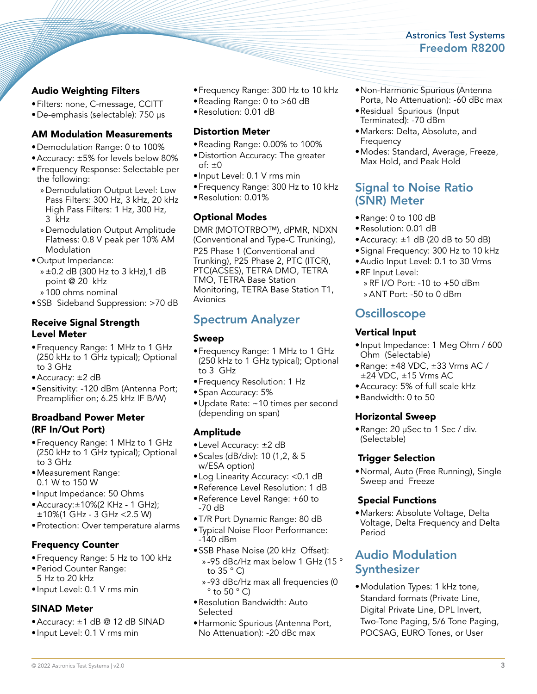### Astronics Test Systems Freedom R8200

### Audio Weighting Filters

- •Filters: none, C-message, CCITT
- •De-emphasis (selectable): 750 µs

#### AM Modulation Measurements

- •Demodulation Range: 0 to 100%
- •Accuracy: ±5% for levels below 80%
- •Frequency Response: Selectable per the following:
	- » Demodulation Output Level: Low Pass Filters: 300 Hz, 3 kHz, 20 kHz High Pass Filters: 1 Hz, 300 Hz, 3 kHz
	- » Demodulation Output Amplitude Flatness: 0.8 V peak per 10% AM Modulation
- •Output Impedance:
	- » ±0.2 dB (300 Hz to 3 kHz),1 dB point @ 20 kHz
	- » 100 ohms nominal
- •SSB Sideband Suppression: >70 dB

#### Receive Signal Strength Level Meter

- •Frequency Range: 1 MHz to 1 GHz (250 kHz to 1 GHz typical); Optional to 3 GHz
- •Accuracy: ±2 dB
- •Sensitivity: -120 dBm (Antenna Port; Preamplifier on; 6.25 kHz IF B/W)

#### Broadband Power Meter (RF In/Out Port)

- •Frequency Range: 1 MHz to 1 GHz (250 kHz to 1 GHz typical); Optional to 3 GHz
- •Measurement Range: 0.1 W to 150 W
- •Input Impedance: 50 Ohms
- •Accuracy:±10%(2 KHz 1 GHz); ±10%(1 GHz - 3 GHz <2.5 W)
- •Protection: Over temperature alarms

### Frequency Counter

- •Frequency Range: 5 Hz to 100 kHz
- •Period Counter Range: 5 Hz to 20 kHz
- •Input Level: 0.1 V rms min

#### SINAD Meter

- •Accuracy: ±1 dB @ 12 dB SINAD
- •Input Level: 0.1 V rms min
- •Frequency Range: 300 Hz to 10 kHz
- •Reading Range: 0 to >60 dB
- •Resolution: 0.01 dB

#### Distortion Meter

- •Reading Range: 0.00% to 100%
- •Distortion Accuracy: The greater of:  $\pm 0$
- •Input Level: 0.1 V rms min
- •Frequency Range: 300 Hz to 10 kHz
- •Resolution: 0.01%

#### Optional Modes

DMR (MOTOTRBO™), dPMR, NDXN (Conventional and Type-C Trunking),

P25 Phase 1 (Conventional and Trunking), P25 Phase 2, PTC (ITCR), PTC(ACSES), TETRA DMO, TETRA TMO, TETRA Base Station Monitoring, TETRA Base Station T1, Avionics

## Spectrum Analyzer

#### Sweep

- •Frequency Range: 1 MHz to 1 GHz (250 kHz to 1 GHz typical); Optional to 3 GHz
- •Frequency Resolution: 1 Hz
- •Span Accuracy: 5%
- •Update Rate: ~10 times per second (depending on span)

### Amplitude

- •Level Accuracy: ±2 dB
- •Scales (dB/div): 10 (1,2, & 5 w/ESA option)
- •Log Linearity Accuracy: <0.1 dB
- •Reference Level Resolution: 1 dB
- •Reference Level Range: +60 to -70 dB
- •T/R Port Dynamic Range: 80 dB
- •Typical Noise Floor Performance:  $-140$  dBm
- •SSB Phase Noise (20 kHz Offset): » -95 dBc/Hz max below 1 GHz (15 ° to  $35 ° C$ 
	- » -93 dBc/Hz max all frequencies (0  $\degree$  to 50  $\degree$  C)
- •Resolution Bandwidth: Auto **Selected**
- •Harmonic Spurious (Antenna Port, No Attenuation): -20 dBc max
- •Non-Harmonic Spurious (Antenna Porta, No Attenuation): -60 dBc max
- •Residual Spurious (Input Terminated): -70 dBm
- •Markers: Delta, Absolute, and **Frequency**
- •Modes: Standard, Average, Freeze, Max Hold, and Peak Hold

## Signal to Noise Ratio (SNR) Meter

- •Range: 0 to 100 dB
- •Resolution: 0.01 dB
- Accuracy:  $\pm 1$  dB (20 dB to 50 dB)
- •Signal Frequency: 300 Hz to 10 kHz
- •Audio Input Level: 0.1 to 30 Vrms •RF Input Level:
	- » RF I/O Port: -10 to +50 dBm » ANT Port: -50 to 0 dBm
	-

## **Oscilloscope**

#### Vertical Input

- •Input Impedance: 1 Meg Ohm / 600 Ohm (Selectable)
- •Range: ±48 VDC, ±33 Vrms AC / ±24 VDC, ±15 Vrms AC
- •Accuracy: 5% of full scale kHz
- •Bandwidth: 0 to 50

#### Horizontal Sweep

•Range: 20 µSec to 1 Sec / div. (Selectable)

#### Trigger Selection

•Normal, Auto (Free Running), Single Sweep and Freeze

#### Special Functions

•Markers: Absolute Voltage, Delta Voltage, Delta Frequency and Delta Period

## Audio Modulation **Synthesizer**

•Modulation Types: 1 kHz tone, Standard formats (Private Line, Digital Private Line, DPL Invert, Two-Tone Paging, 5/6 Tone Paging, POCSAG, EURO Tones, or User